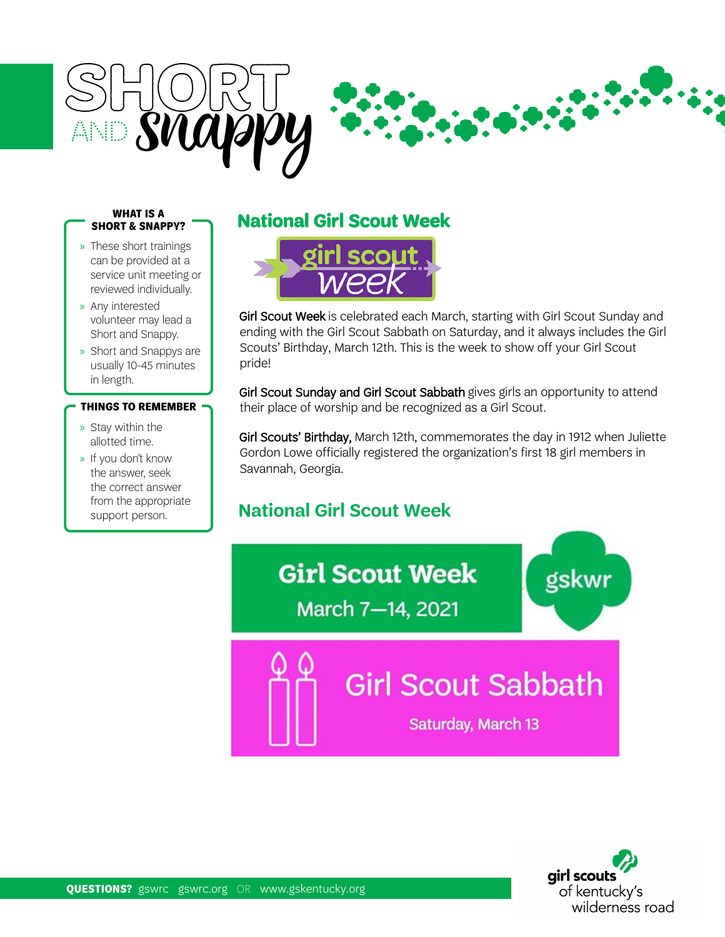

### **WHAT IS A SHORT & SNAPPY?**

- » These short trainings can be provided at a service unit meeting or reviewed individually.
- » Any interested volunteer may lead a Short and Snappy.
- » Short and Snappys are usually 10-45 minutes in length.

### **THINGS TO REMEMBER**

- » Stay within the allotted time.
- » If you don't know the answer, seek the correct answer from the appropriate support person.

# **National Girl Scout Week**



Girl Scout Week is celebrated each March, starting with Girl Scout Sunday and ending with the Girl Scout Sabbath on Saturday, and it always includes the Girl Scouts' Birthday, March 12th. This is the week to show off your Girl Scout pride!

Girl Scout Sunday and Girl Scout Sabbath gives girls an opportunity to attend their place of worship and be recognized as a Girl Scout.

Girl Scouts' Birthday, March 12th, commemorates the day in 1912 when Juliette Gordon Lowe officially registered the organization's first 18 girl members in Savannah, Georgia.

## **National Girl Scout Week**

**Girl Scout Week** March 7-14, 2021

**Girl Scout Sabbath** 

Saturday, March 13



gskwr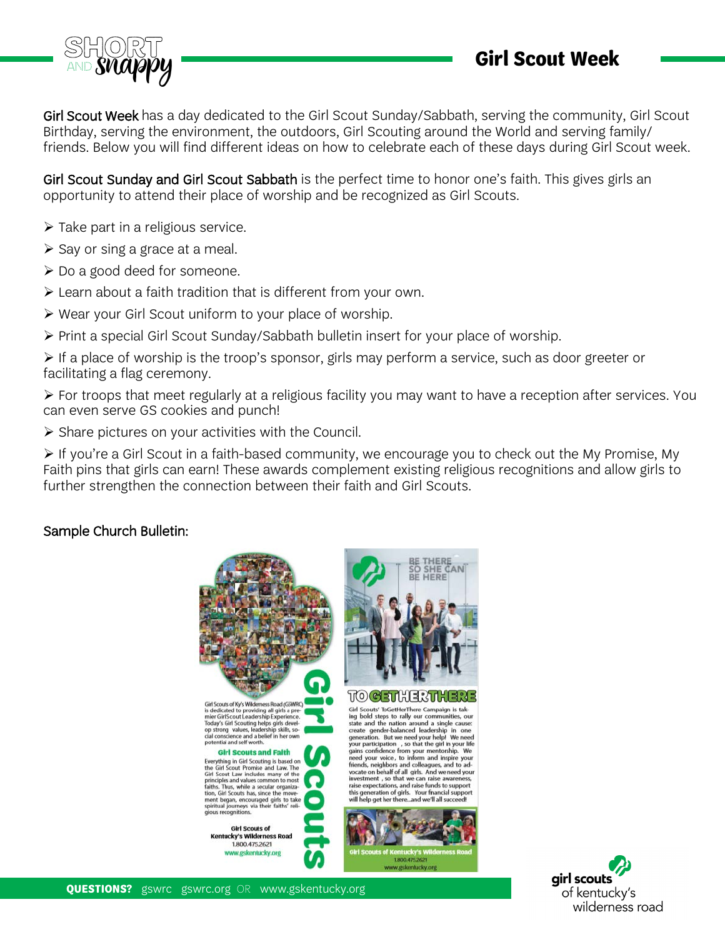

Girl Scout Week has a day dedicated to the Girl Scout Sunday/Sabbath, serving the community, Girl Scout Birthday, serving the environment, the outdoors, Girl Scouting around the World and serving family/ friends. Below you will find different ideas on how to celebrate each of these days during Girl Scout week.

Girl Scout Sunday and Girl Scout Sabbath is the perfect time to honor one's faith. This gives girls an opportunity to attend their place of worship and be recognized as Girl Scouts.

- $\triangleright$  Take part in a religious service.
- $\triangleright$  Say or sing a grace at a meal.
- Do a good deed for someone.
- Learn about a faith tradition that is different from your own.
- Wear your Girl Scout uniform to your place of worship.
- $\triangleright$  Print a special Girl Scout Sunday/Sabbath bulletin insert for your place of worship.

 $\triangleright$  If a place of worship is the troop's sponsor, girls may perform a service, such as door greeter or facilitating a flag ceremony.

 $\triangleright$  For troops that meet regularly at a religious facility you may want to have a reception after services. You can even serve GS cookies and punch!

 $\triangleright$  Share pictures on your activities with the Council.

 $\triangleright$  If you're a Girl Scout in a faith-based community, we encourage you to check out the My Promise, My Faith pins that girls can earn! These awards complement existing religious recognitions and allow girls to further strengthen the connection between their faith and Girl Scouts.

## Sample Church Bulletin:



Girl Scouts of Ky's Wilderness Road (GSWRO) on scouss of sy syntemes road (syntems)<br>is dedicated to providing all girls a pre-<br>mier Girl Scout Leadership Experience.<br>Today's Girl Scouting helps girls devel-<br>op strong values, leadership skills, so-<br>cial conscience an notential and self worth

#### **Girl Scouts and Faith**

**Girl's Couts and Falth I**<br> **Girl's Couting is based on**<br>
the Girl Scout Promise and Law. The<br>
Girl Scout Law includes many of the Sint<br>
Scirling in the principles and values common to most<br>
faths. Thus, while a secular or

**Girl Scouts of Kentucky's Wilderness Road** 1,800.475.2621 www.gskentucky.org



**TO CETHER THERE** 

Girl Scouts' ToGetHerThere Campaign is taking bold steps to rally our communities, our<br>state and the nation around a single cause:<br>create gender-balanced leadership in one<br>generation. But we need your help! We need<br>your participation , so that the girl in your lif ing bold steps to rally our communities, our this generation of girls. Your fnancial suppo<br>will help get her there...and we'll all succeed!



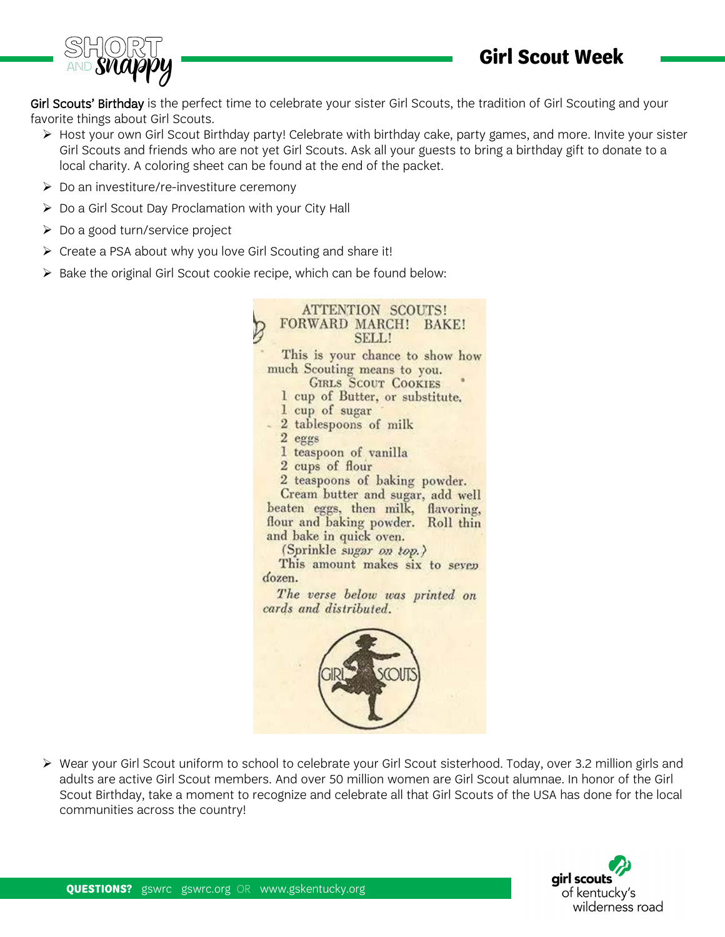

Girl Scouts' Birthday is the perfect time to celebrate your sister Girl Scouts, the tradition of Girl Scouting and your favorite things about Girl Scouts.

- $\triangleright$  Host your own Girl Scout Birthday party! Celebrate with birthday cake, party games, and more. Invite your sister Girl Scouts and friends who are not yet Girl Scouts. Ask all your guests to bring a birthday gift to donate to a local charity. A coloring sheet can be found at the end of the packet.
- $\triangleright$  Do an investiture/re-investiture ceremony
- $\triangleright$  Do a Girl Scout Day Proclamation with your City Hall
- Do a good turn/service project
- $\triangleright$  Create a PSA about why you love Girl Scouting and share it!
- $\triangleright$  Bake the original Girl Scout cookie recipe, which can be found below:



 Wear your Girl Scout uniform to school to celebrate your Girl Scout sisterhood. Today, over 3.2 million girls and adults are active Girl Scout members. And over 50 million women are Girl Scout alumnae. In honor of the Girl Scout Birthday, take a moment to recognize and celebrate all that Girl Scouts of the USA has done for the local communities across the country!

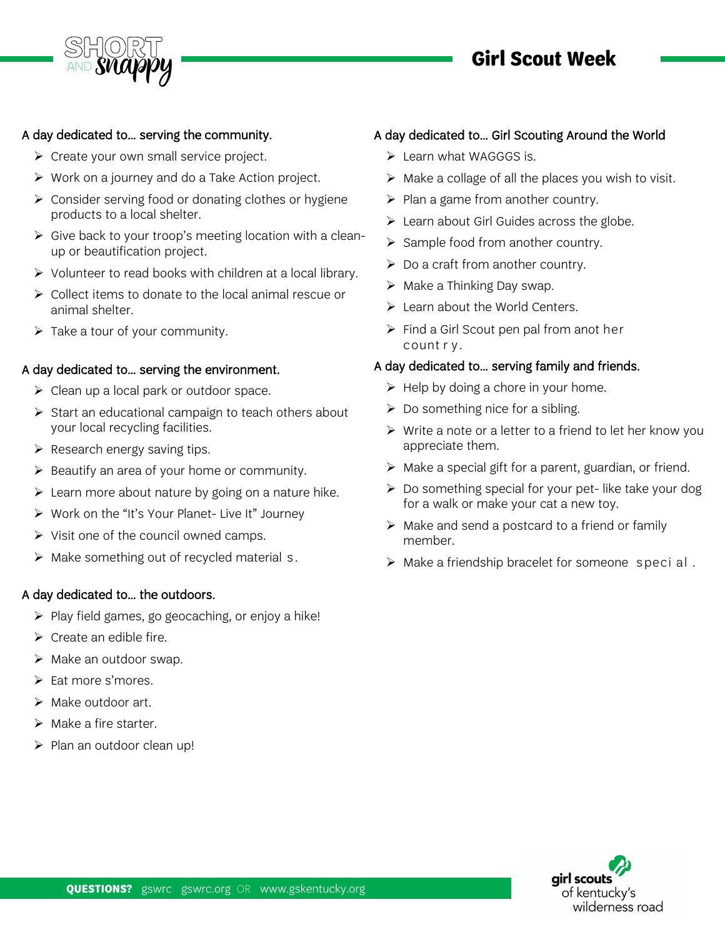

# **Girl Scout Week**

## A day dedicated to… serving the community.

- $\triangleright$  Create your own small service project.
- $\triangleright$  Work on a journey and do a Take Action project.
- Consider serving food or donating clothes or hygiene products to a local shelter.
- $\triangleright$  Give back to your troop's meeting location with a cleanup or beautification project.
- $\triangleright$  Volunteer to read books with children at a local library.
- ▶ Collect items to donate to the local animal rescue or animal shelter.
- $\triangleright$  Take a tour of your community.

### A day dedicated to… serving the environment.

- $\triangleright$  Clean up a local park or outdoor space.
- $\triangleright$  Start an educational campaign to teach others about your local recycling facilities.
- $\triangleright$  Research energy saving tips.
- $\triangleright$  Beautify an area of your home or community.
- $\triangleright$  Learn more about nature by going on a nature hike.
- $\triangleright$  Work on the "It's Your Planet- Live It" Journey
- $\triangleright$  Visit one of the council owned camps.
- $\triangleright$  Make something out of recycled material s.

### A day dedicated to… the outdoors.

- $\triangleright$  Play field games, go geocaching, or enjoy a hike!
- $\triangleright$  Create an edible fire.
- $\triangleright$  Make an outdoor swap.
- $\triangleright$  Eat more s'mores.
- $\triangleright$  Make outdoor art.
- $\triangleright$  Make a fire starter.
- $\triangleright$  Plan an outdoor clean up!

## A day dedicated to… Girl Scouting Around the World

- $\triangleright$  Learn what WAGGGS is.
- $\triangleright$  Make a collage of all the places you wish to visit.
- $\triangleright$  Plan a game from another country.
- $\triangleright$  Learn about Girl Guides across the globe.
- $\triangleright$  Sample food from another country.
- $\triangleright$  Do a craft from another country.
- $\triangleright$  Make a Thinking Day swap.
- $\triangleright$  Learn about the World Centers.
- $\triangleright$  Find a Girl Scout pen pal from anot her count r y .

### A day dedicated to… serving family and friends.

- $\triangleright$  Help by doing a chore in your home.
- $\triangleright$  Do something nice for a sibling.
- $\triangleright$  Write a note or a letter to a friend to let her know you appreciate them.
- $\triangleright$  Make a special gift for a parent, guardian, or friend.
- $\triangleright$  Do something special for your pet-like take your dog for a walk or make your cat a new toy.
- $\triangleright$  Make and send a postcard to a friend or family member.
- $\triangleright$  Make a friendship bracelet for someone special.